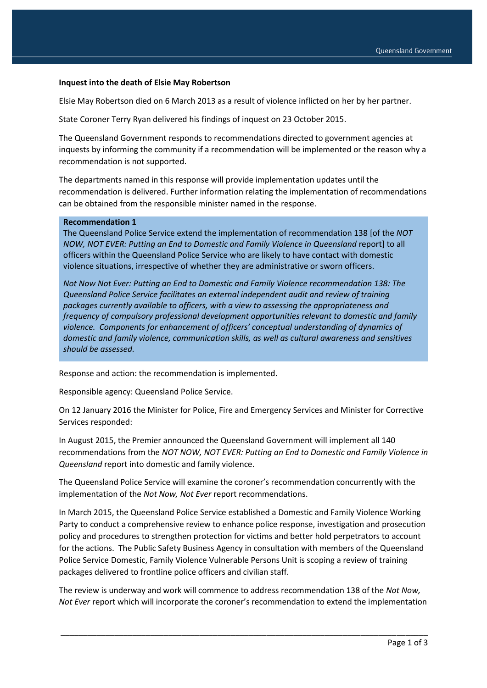### **Inquest into the death of Elsie May Robertson**

Elsie May Robertson died on 6 March 2013 as a result of violence inflicted on her by her partner.

State Coroner Terry Ryan delivered his findings of inquest on 23 October 2015.

The Queensland Government responds to recommendations directed to government agencies at inquests by informing the community if a recommendation will be implemented or the reason why a recommendation is not supported.

The departments named in this response will provide implementation updates until the recommendation is delivered. Further information relating the implementation of recommendations can be obtained from the responsible minister named in the response.

#### **Recommendation 1**

The Queensland Police Service extend the implementation of recommendation 138 [of the *NOT NOW, NOT EVER: Putting an End to Domestic and Family Violence in Queensland* report] to all officers within the Queensland Police Service who are likely to have contact with domestic violence situations, irrespective of whether they are administrative or sworn officers.

*Not Now Not Ever: Putting an End to Domestic and Family Violence recommendation 138: The Queensland Police Service facilitates an external independent audit and review of training packages currently available to officers, with a view to assessing the appropriateness and frequency of compulsory professional development opportunities relevant to domestic and family violence. Components for enhancement of officers' conceptual understanding of dynamics of domestic and family violence, communication skills, as well as cultural awareness and sensitives should be assessed.* 

Response and action: the recommendation is implemented.

Responsible agency: Queensland Police Service.

On 12 January 2016 the Minister for Police, Fire and Emergency Services and Minister for Corrective Services responded:

In August 2015, the Premier announced the Queensland Government will implement all 140 recommendations from the *NOT NOW, NOT EVER: Putting an End to Domestic and Family Violence in Queensland* report into domestic and family violence.

The Queensland Police Service will examine the coroner's recommendation concurrently with the implementation of the *Not Now, Not Ever* report recommendations.

In March 2015, the Queensland Police Service established a Domestic and Family Violence Working Party to conduct a comprehensive review to enhance police response, investigation and prosecution policy and procedures to strengthen protection for victims and better hold perpetrators to account for the actions. The Public Safety Business Agency in consultation with members of the Queensland Police Service Domestic, Family Violence Vulnerable Persons Unit is scoping a review of training packages delivered to frontline police officers and civilian staff.

The review is underway and work will commence to address recommendation 138 of the *Not Now, Not Ever* report which will incorporate the coroner's recommendation to extend the implementation

\_\_\_\_\_\_\_\_\_\_\_\_\_\_\_\_\_\_\_\_\_\_\_\_\_\_\_\_\_\_\_\_\_\_\_\_\_\_\_\_\_\_\_\_\_\_\_\_\_\_\_\_\_\_\_\_\_\_\_\_\_\_\_\_\_\_\_\_\_\_\_\_\_\_\_\_\_\_\_\_\_\_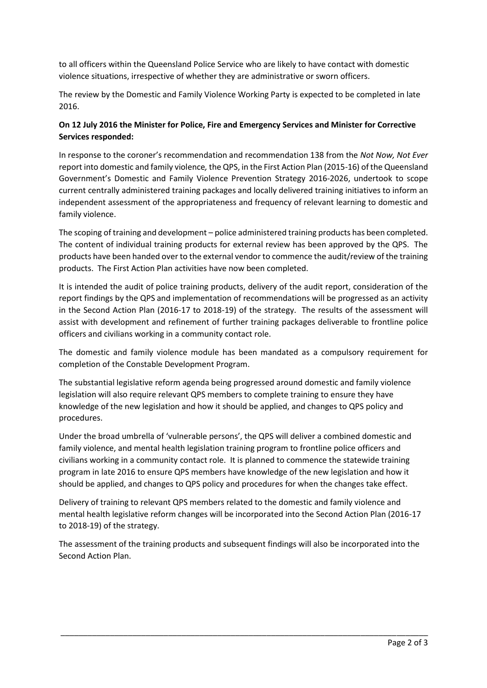to all officers within the Queensland Police Service who are likely to have contact with domestic violence situations, irrespective of whether they are administrative or sworn officers.

The review by the Domestic and Family Violence Working Party is expected to be completed in late 2016.

# **On 12 July 2016 the Minister for Police, Fire and Emergency Services and Minister for Corrective Services responded:**

In response to the coroner's recommendation and recommendation 138 from the *Not Now, Not Ever* report into domestic and family violence*,* the QPS, in the First Action Plan (2015-16) of the Queensland Government's Domestic and Family Violence Prevention Strategy 2016-2026, undertook to scope current centrally administered training packages and locally delivered training initiatives to inform an independent assessment of the appropriateness and frequency of relevant learning to domestic and family violence.

The scoping of training and development – police administered training products has been completed. The content of individual training products for external review has been approved by the QPS. The products have been handed over to the external vendor to commence the audit/review of the training products. The First Action Plan activities have now been completed.

It is intended the audit of police training products, delivery of the audit report, consideration of the report findings by the QPS and implementation of recommendations will be progressed as an activity in the Second Action Plan (2016-17 to 2018-19) of the strategy. The results of the assessment will assist with development and refinement of further training packages deliverable to frontline police officers and civilians working in a community contact role.

The domestic and family violence module has been mandated as a compulsory requirement for completion of the Constable Development Program.

The substantial legislative reform agenda being progressed around domestic and family violence legislation will also require relevant QPS members to complete training to ensure they have knowledge of the new legislation and how it should be applied, and changes to QPS policy and procedures.

Under the broad umbrella of 'vulnerable persons', the QPS will deliver a combined domestic and family violence, and mental health legislation training program to frontline police officers and civilians working in a community contact role. It is planned to commence the statewide training program in late 2016 to ensure QPS members have knowledge of the new legislation and how it should be applied, and changes to QPS policy and procedures for when the changes take effect.

Delivery of training to relevant QPS members related to the domestic and family violence and mental health legislative reform changes will be incorporated into the Second Action Plan (2016-17 to 2018-19) of the strategy.

The assessment of the training products and subsequent findings will also be incorporated into the Second Action Plan.

\_\_\_\_\_\_\_\_\_\_\_\_\_\_\_\_\_\_\_\_\_\_\_\_\_\_\_\_\_\_\_\_\_\_\_\_\_\_\_\_\_\_\_\_\_\_\_\_\_\_\_\_\_\_\_\_\_\_\_\_\_\_\_\_\_\_\_\_\_\_\_\_\_\_\_\_\_\_\_\_\_\_